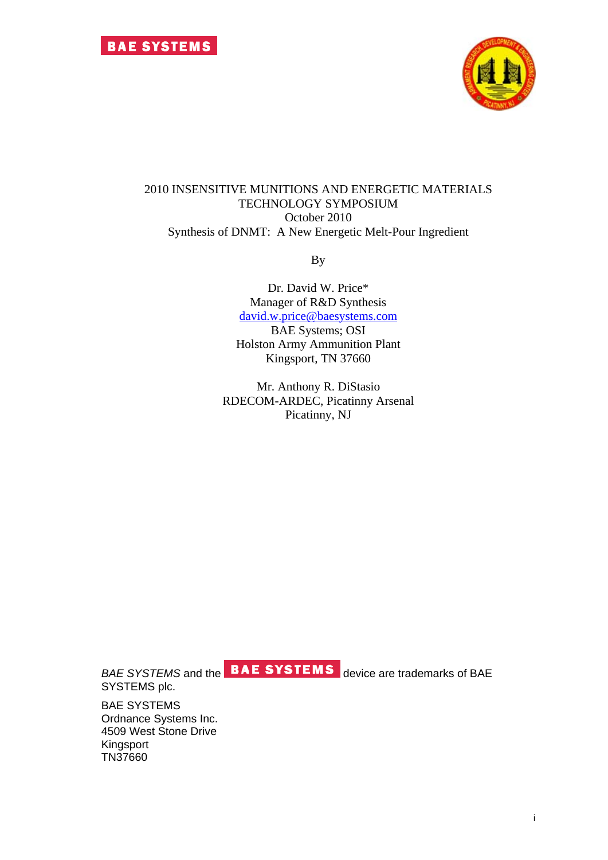

### 2010 INSENSITIVE MUNITIONS AND ENERGETIC MATERIALS TECHNOLOGY SYMPOSIUM October 2010 Synthesis of DNMT: A New Energetic Melt-Pour Ingredient

By

Dr. David W. Price\* Manager of R&D Synthesis [david.w.price@baesystems.com](mailto:Andrew.r.wilson@baesystems.com) BAE Systems; OSI Holston Army Ammunition Plant Kingsport, TN 37660

Mr. Anthony R. DiStasio RDECOM-ARDEC, Picatinny Arsenal Picatinny, NJ

SYSTEMS plc.

*BAE SYSTEMS* and the **BAE SYSTEMS** device are trademarks of BAE

BAE SYSTEMS Ordnance Systems Inc. 4509 West Stone Drive Kingsport TN37660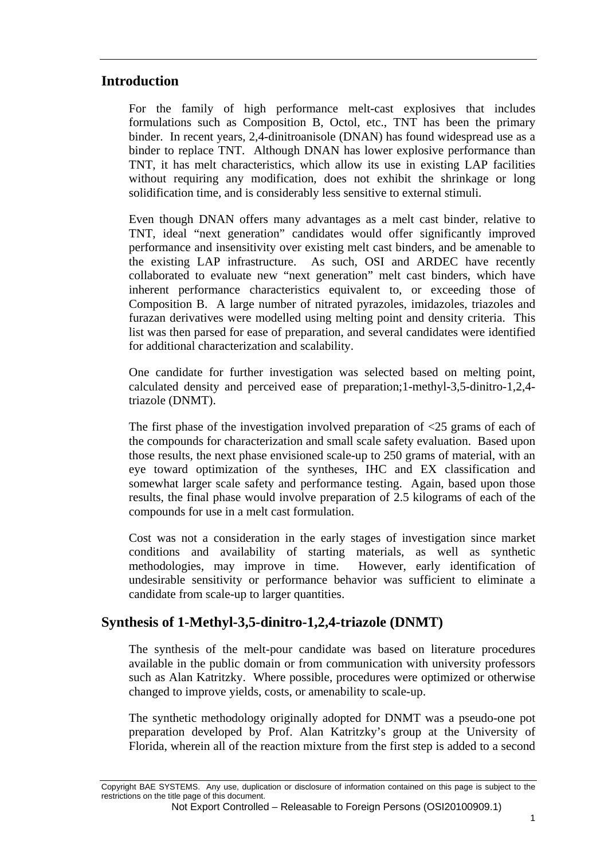# **Introduction**

For the family of high performance melt-cast explosives that includes formulations such as Composition B, Octol, etc., TNT has been the primary binder. In recent years, 2,4-dinitroanisole (DNAN) has found widespread use as a binder to replace TNT. Although DNAN has lower explosive performance than TNT, it has melt characteristics, which allow its use in existing LAP facilities without requiring any modification, does not exhibit the shrinkage or long solidification time, and is considerably less sensitive to external stimuli.

Even though DNAN offers many advantages as a melt cast binder, relative to TNT, ideal "next generation" candidates would offer significantly improved performance and insensitivity over existing melt cast binders, and be amenable to the existing LAP infrastructure. As such, OSI and ARDEC have recently collaborated to evaluate new "next generation" melt cast binders, which have inherent performance characteristics equivalent to, or exceeding those of Composition B. A large number of nitrated pyrazoles, imidazoles, triazoles and furazan derivatives were modelled using melting point and density criteria. This list was then parsed for ease of preparation, and several candidates were identified for additional characterization and scalability.

One candidate for further investigation was selected based on melting point, calculated density and perceived ease of preparation;1-methyl-3,5-dinitro-1,2,4 triazole (DNMT).

The first phase of the investigation involved preparation of  $\langle 25 \rangle$  grams of each of the compounds for characterization and small scale safety evaluation. Based upon those results, the next phase envisioned scale-up to 250 grams of material, with an eye toward optimization of the syntheses, IHC and EX classification and somewhat larger scale safety and performance testing. Again, based upon those results, the final phase would involve preparation of 2.5 kilograms of each of the compounds for use in a melt cast formulation.

Cost was not a consideration in the early stages of investigation since market conditions and availability of starting materials, as well as synthetic methodologies, may improve in time. However, early identification of undesirable sensitivity or performance behavior was sufficient to eliminate a candidate from scale-up to larger quantities.

# **Synthesis of 1-Methyl-3,5-dinitro-1,2,4-triazole (DNMT)**

The synthesis of the melt-pour candidate was based on literature procedures available in the public domain or from communication with university professors such as Alan Katritzky. Where possible, procedures were optimized or otherwise changed to improve yields, costs, or amenability to scale-up.

The synthetic methodology originally adopted for DNMT was a pseudo-one pot preparation developed by Prof. Alan Katritzky's group at the University of Florida, wherein all of the reaction mixture from the first step is added to a second

Copyright BAE SYSTEMS. Any use, duplication or disclosure of information contained on this page is subject to the restrictions on the title page of this document.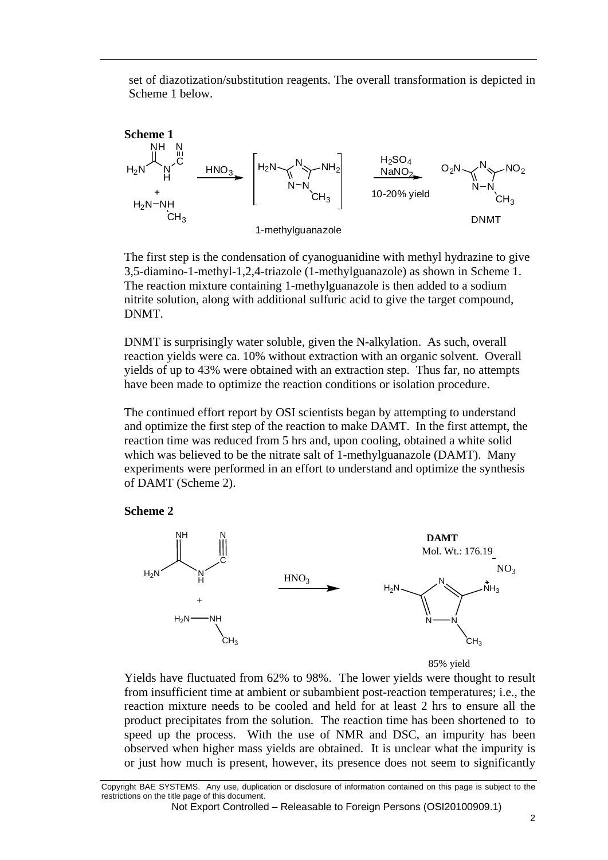set of diazotization/substitution reagents. The overall transformation is depicted in Scheme 1 below.



The first step is the condensation of cyanoguanidine with methyl hydrazine to give 3,5-diamino-1-methyl-1,2,4-triazole (1-methylguanazole) as shown in Scheme 1. The reaction mixture containing 1-methylguanazole is then added to a sodium nitrite solution, along with additional sulfuric acid to give the target compound, DNMT.

DNMT is surprisingly water soluble, given the N-alkylation. As such, overall reaction yields were ca. 10% without extraction with an organic solvent. Overall yields of up to 43% were obtained with an extraction step. Thus far, no attempts have been made to optimize the reaction conditions or isolation procedure.

The continued effort report by OSI scientists began by attempting to understand and optimize the first step of the reaction to make DAMT. In the first attempt, the reaction time was reduced from 5 hrs and, upon cooling, obtained a white solid which was believed to be the nitrate salt of 1-methylguanazole (DAMT). Many experiments were performed in an effort to understand and optimize the synthesis of DAMT (Scheme 2).







Yields have fluctuated from 62% to 98%. The lower yields were thought to result from insufficient time at ambient or subambient post-reaction temperatures; i.e., the reaction mixture needs to be cooled and held for at least 2 hrs to ensure all the product precipitates from the solution. The reaction time has been shortened to to speed up the process. With the use of NMR and DSC, an impurity has been observed when higher mass yields are obtained. It is unclear what the impurity is or just how much is present, however, its presence does not seem to significantly

Copyright BAE SYSTEMS. Any use, duplication or disclosure of information contained on this page is subject to the restrictions on the title page of this document.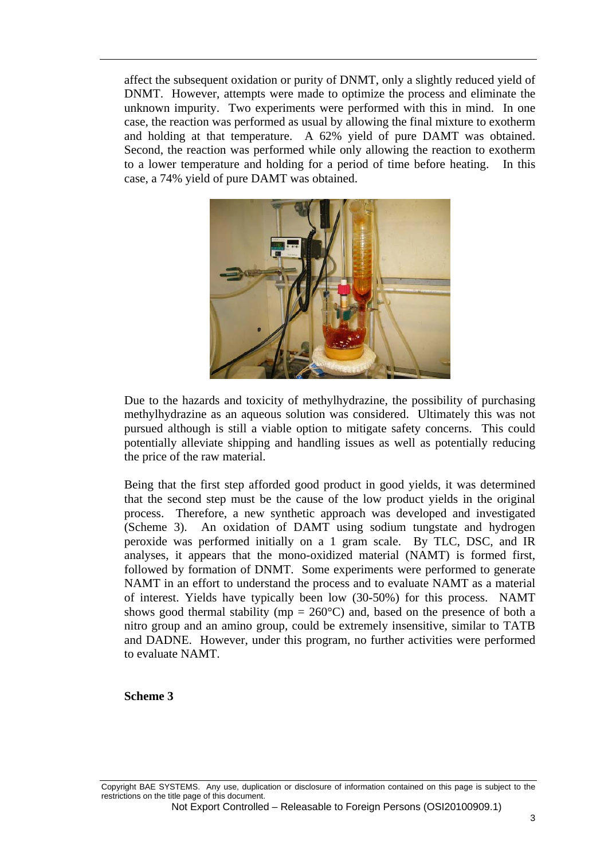affect the subsequent oxidation or purity of DNMT, only a slightly reduced yield of DNMT. However, attempts were made to optimize the process and eliminate the unknown impurity. Two experiments were performed with this in mind. In one case, the reaction was performed as usual by allowing the final mixture to exotherm and holding at that temperature. A 62% yield of pure DAMT was obtained. Second, the reaction was performed while only allowing the reaction to exotherm to a lower temperature and holding for a period of time before heating. In this case, a 74% yield of pure DAMT was obtained.



Due to the hazards and toxicity of methylhydrazine, the possibility of purchasing methylhydrazine as an aqueous solution was considered. Ultimately this was not pursued although is still a viable option to mitigate safety concerns. This could potentially alleviate shipping and handling issues as well as potentially reducing the price of the raw material.

Being that the first step afforded good product in good yields, it was determined that the second step must be the cause of the low product yields in the original process. Therefore, a new synthetic approach was developed and investigated (Scheme 3). An oxidation of DAMT using sodium tungstate and hydrogen peroxide was performed initially on a 1 gram scale. By TLC, DSC, and IR analyses, it appears that the mono-oxidized material (NAMT) is formed first, followed by formation of DNMT. Some experiments were performed to generate NAMT in an effort to understand the process and to evaluate NAMT as a material of interest. Yields have typically been low (30-50%) for this process. NAMT shows good thermal stability (mp =  $260^{\circ}$ C) and, based on the presence of both a nitro group and an amino group, could be extremely insensitive, similar to TATB and DADNE. However, under this program, no further activities were performed to evaluate NAMT.

**Scheme 3**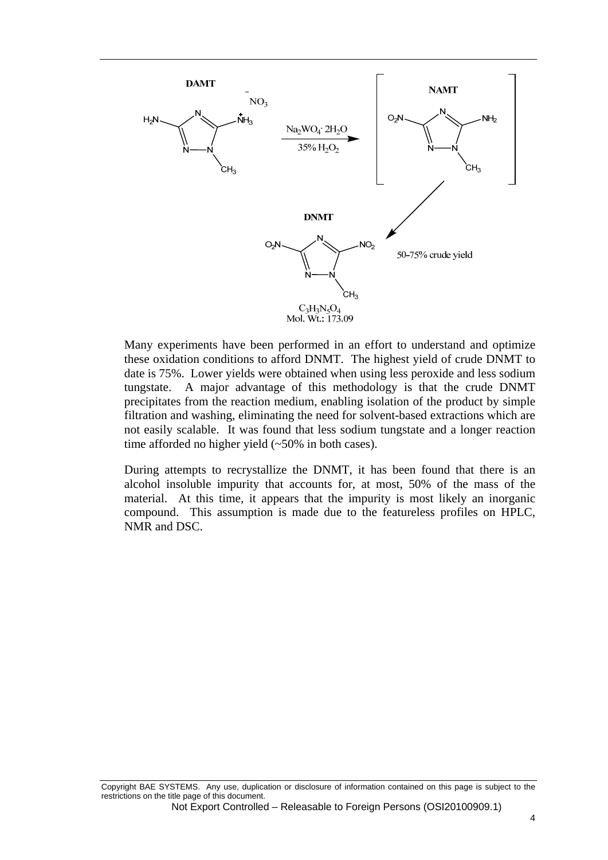

Many experiments have been performed in an effort to understand and optimize these oxidation conditions to afford DNMT. The highest yield of crude DNMT to date is 75%. Lower yields were obtained when using less peroxide and less sodium tungstate. A major advantage of this methodology is that the crude DNMT precipitates from the reaction medium, enabling isolation of the product by simple filtration and washing, eliminating the need for solvent-based extractions which are not easily scalable. It was found that less sodium tungstate and a longer reaction time afforded no higher yield (~50% in both cases).

During attempts to recrystallize the DNMT, it has been found that there is an alcohol insoluble impurity that accounts for, at most, 50% of the mass of the material. At this time, it appears that the impurity is most likely an inorganic compound. This assumption is made due to the featureless profiles on HPLC, NMR and DSC.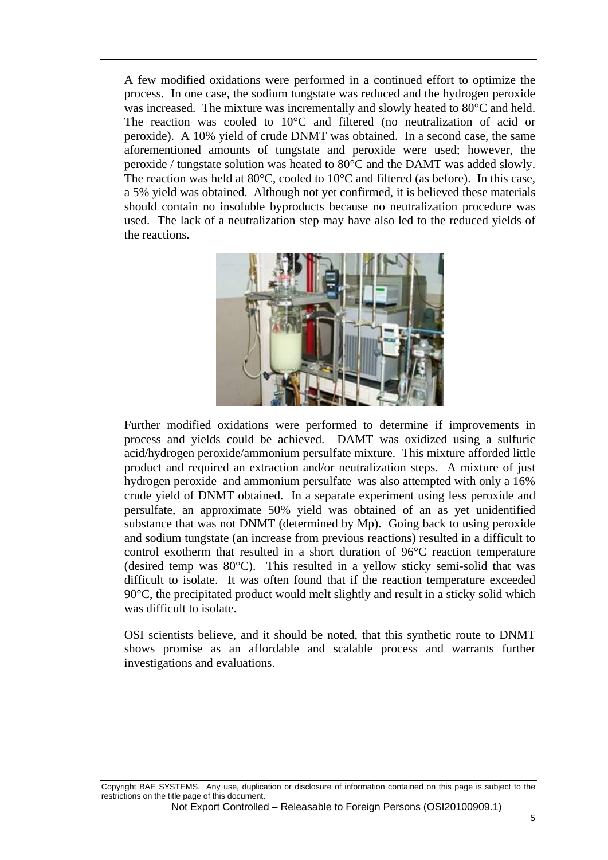A few modified oxidations were performed in a continued effort to optimize the process. In one case, the sodium tungstate was reduced and the hydrogen peroxide was increased. The mixture was incrementally and slowly heated to 80°C and held. The reaction was cooled to 10°C and filtered (no neutralization of acid or peroxide). A 10% yield of crude DNMT was obtained. In a second case, the same aforementioned amounts of tungstate and peroxide were used; however, the peroxide / tungstate solution was heated to 80°C and the DAMT was added slowly. The reaction was held at 80°C, cooled to 10°C and filtered (as before). In this case, a 5% yield was obtained. Although not yet confirmed, it is believed these materials should contain no insoluble byproducts because no neutralization procedure was used. The lack of a neutralization step may have also led to the reduced yields of the reactions.



Further modified oxidations were performed to determine if improvements in process and yields could be achieved. DAMT was oxidized using a sulfuric acid/hydrogen peroxide/ammonium persulfate mixture. This mixture afforded little product and required an extraction and/or neutralization steps. A mixture of just hydrogen peroxide and ammonium persulfate was also attempted with only a 16% crude yield of DNMT obtained. In a separate experiment using less peroxide and persulfate, an approximate 50% yield was obtained of an as yet unidentified substance that was not DNMT (determined by Mp). Going back to using peroxide and sodium tungstate (an increase from previous reactions) resulted in a difficult to control exotherm that resulted in a short duration of 96°C reaction temperature (desired temp was 80°C). This resulted in a yellow sticky semi-solid that was difficult to isolate. It was often found that if the reaction temperature exceeded 90°C, the precipitated product would melt slightly and result in a sticky solid which was difficult to isolate.

OSI scientists believe, and it should be noted, that this synthetic route to DNMT shows promise as an affordable and scalable process and warrants further investigations and evaluations.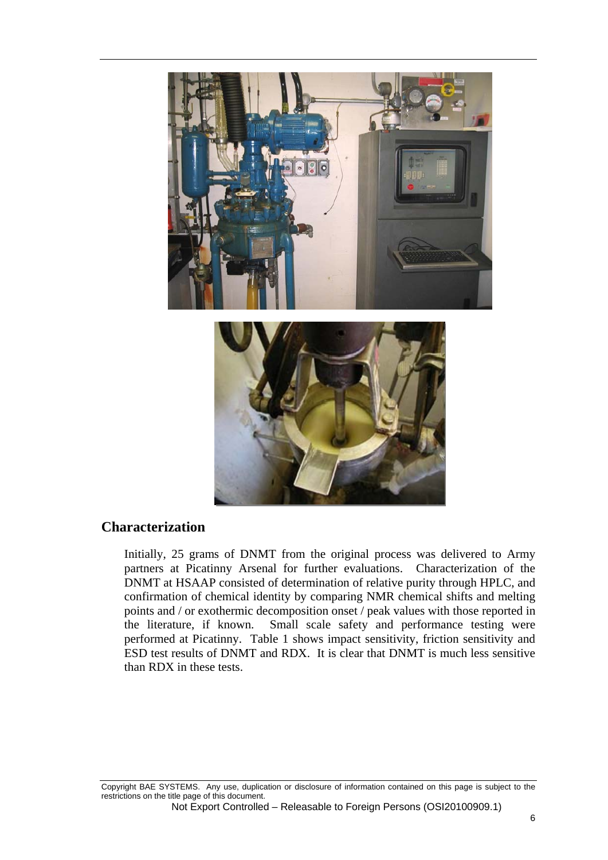

# **Characterization**

Initially, 25 grams of DNMT from the original process was delivered to Army partners at Picatinny Arsenal for further evaluations. Characterization of the DNMT at HSAAP consisted of determination of relative purity through HPLC, and confirmation of chemical identity by comparing NMR chemical shifts and melting points and / or exothermic decomposition onset / peak values with those reported in the literature, if known. Small scale safety and performance testing were performed at Picatinny. Table 1 shows impact sensitivity, friction sensitivity and ESD test results of DNMT and RDX. It is clear that DNMT is much less sensitive than RDX in these tests.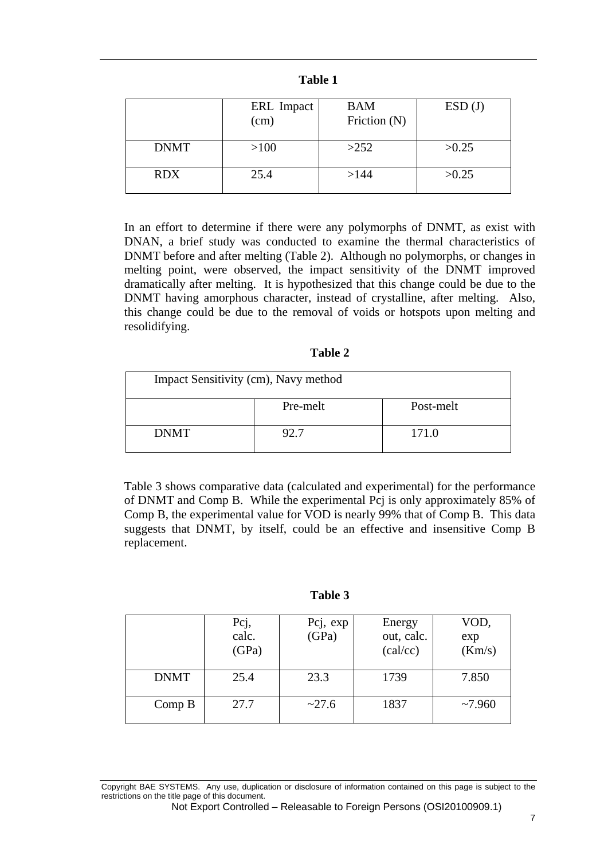|             | ERL Impact<br>(cm) | <b>BAM</b><br>Friction (N) | ESD(J) |
|-------------|--------------------|----------------------------|--------|
| <b>DNMT</b> | >100               | >252                       | >0.25  |
| <b>RDX</b>  | 25.4               | >144                       | >0.25  |

In an effort to determine if there were any polymorphs of DNMT, as exist with DNAN, a brief study was conducted to examine the thermal characteristics of DNMT before and after melting (Table 2). Although no polymorphs, or changes in melting point, were observed, the impact sensitivity of the DNMT improved dramatically after melting. It is hypothesized that this change could be due to the DNMT having amorphous character, instead of crystalline, after melting. Also, this change could be due to the removal of voids or hotspots upon melting and resolidifying.

| Π<br>חו<br>н |  |
|--------------|--|
|--------------|--|

| Impact Sensitivity (cm), Navy method |          |           |  |
|--------------------------------------|----------|-----------|--|
|                                      | Pre-melt | Post-melt |  |
| <b>DNMT</b>                          | 92.7     | 171.0     |  |

Table 3 shows comparative data (calculated and experimental) for the performance of DNMT and Comp B. While the experimental Pcj is only approximately 85% of Comp B, the experimental value for VOD is nearly 99% that of Comp B. This data suggests that DNMT, by itself, could be an effective and insensitive Comp B replacement.

| m<br>Η<br>И<br>н |  |  |
|------------------|--|--|
|------------------|--|--|

|             | Pcj,<br>calc.<br>(GPa) | Pcj, exp<br>(GPa) | Energy<br>out, calc.<br>(cal/cc) | VOD,<br>exp<br>(Km/s) |
|-------------|------------------------|-------------------|----------------------------------|-----------------------|
| <b>DNMT</b> | 25.4                   | 23.3              | 1739                             | 7.850                 |
| Comp B      | 27.7                   | ~27.6             | 1837                             | ~27.960               |

Copyright BAE SYSTEMS. Any use, duplication or disclosure of information contained on this page is subject to the restrictions on the title page of this document.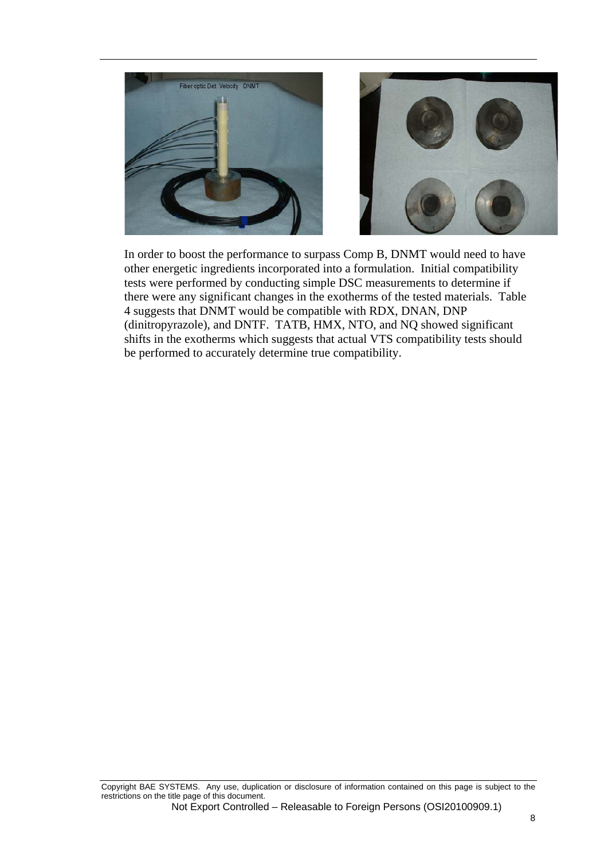

In order to boost the performance to surpass Comp B, DNMT would need to have other energetic ingredients incorporated into a formulation. Initial compatibility tests were performed by conducting simple DSC measurements to determine if there were any significant changes in the exotherms of the tested materials. Table 4 suggests that DNMT would be compatible with RDX, DNAN, DNP (dinitropyrazole), and DNTF. TATB, HMX, NTO, and NQ showed significant shifts in the exotherms which suggests that actual VTS compatibility tests should be performed to accurately determine true compatibility.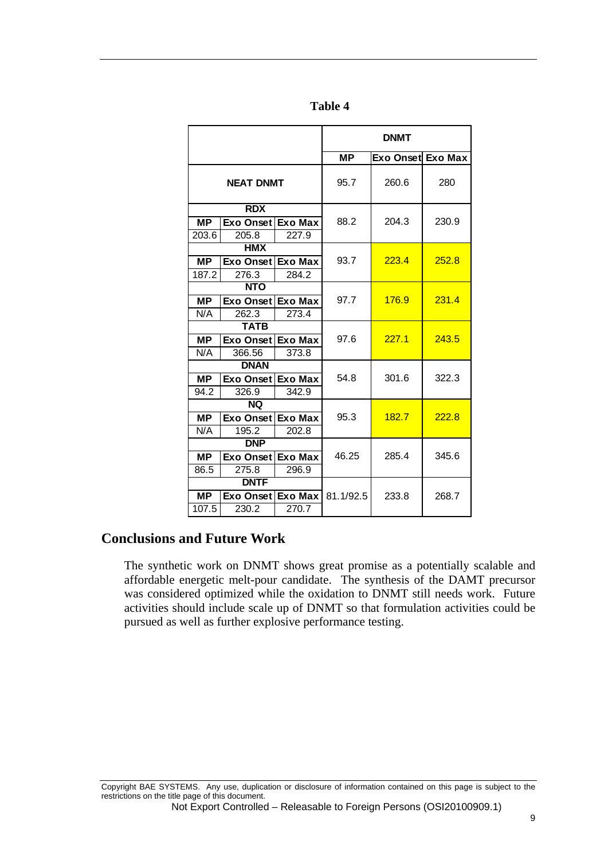| ١<br>H<br>. .<br>M. |  |
|---------------------|--|
|---------------------|--|

|                          |                  |                | <b>DNMT</b> |                   |       |
|--------------------------|------------------|----------------|-------------|-------------------|-------|
|                          |                  |                | <b>MP</b>   | Exo Onset Exo Max |       |
| <b>NEAT DNMT</b>         |                  | 95.7           | 260.6       | 280               |       |
| <b>RDX</b>               |                  |                |             |                   |       |
| <b>MP</b>                | Exo Onset        | <b>Exo Max</b> | 88.2        | 204.3             | 230.9 |
| 203.6                    | 205.8            | 227.9          |             |                   |       |
|                          | <b>HMX</b>       |                |             |                   |       |
| <b>MP</b>                | Exo Onset        | Exo Max        | 93.7        | 223.4             | 252.8 |
| 187.2                    | 276.3            | 284.2          |             |                   |       |
| <b>NTO</b>               |                  |                |             |                   |       |
| <b>MP</b>                | Exo Onset        | <b>Exo Max</b> | 97.7        | 176.9             | 231.4 |
| N/A                      | 262.3            | 273.4          |             |                   |       |
| <b>TATB</b>              |                  |                |             |                   |       |
| $\overline{\mathsf{MP}}$ | Exo Onset        | <b>Exo Max</b> | 97.6        | 227.1             | 243.5 |
| N/A                      | 366.56           | 373.8          |             |                   |       |
| <b>DNAN</b>              |                  |                |             |                   |       |
| <b>MP</b>                | <b>Exo Onset</b> | <b>Exo Max</b> | 54.8        | 301.6             | 322.3 |
| 94.2                     | 326.9            | 342.9          |             |                   |       |
|                          | <b>NQ</b>        |                |             |                   |       |
| <b>MP</b>                | <b>Exo Onset</b> | <b>Exo Max</b> | 95.3        | 182.7             | 222.8 |
| N/A                      | 195.2            | 202.8          |             |                   |       |
| <b>DNP</b>               |                  |                |             |                   |       |
| <b>MP</b>                | Exo Onset        | <b>Exo Max</b> | 46.25       | 285.4             | 345.6 |
| 86.5                     | 275.8            | 296.9          |             |                   |       |
|                          | <b>DNTF</b>      |                |             |                   |       |
| <b>MP</b>                | <b>Exo Onset</b> | Exo Max        | 81.1/92.5   | 233.8             | 268.7 |
| 107.5                    | 230.2            | 270.7          |             |                   |       |

# **Conclusions and Future Work**

The synthetic work on DNMT shows great promise as a potentially scalable and affordable energetic melt-pour candidate. The synthesis of the DAMT precursor was considered optimized while the oxidation to DNMT still needs work. Future activities should include scale up of DNMT so that formulation activities could be pursued as well as further explosive performance testing.

Copyright BAE SYSTEMS. Any use, duplication or disclosure of information contained on this page is subject to the restrictions on the title page of this document.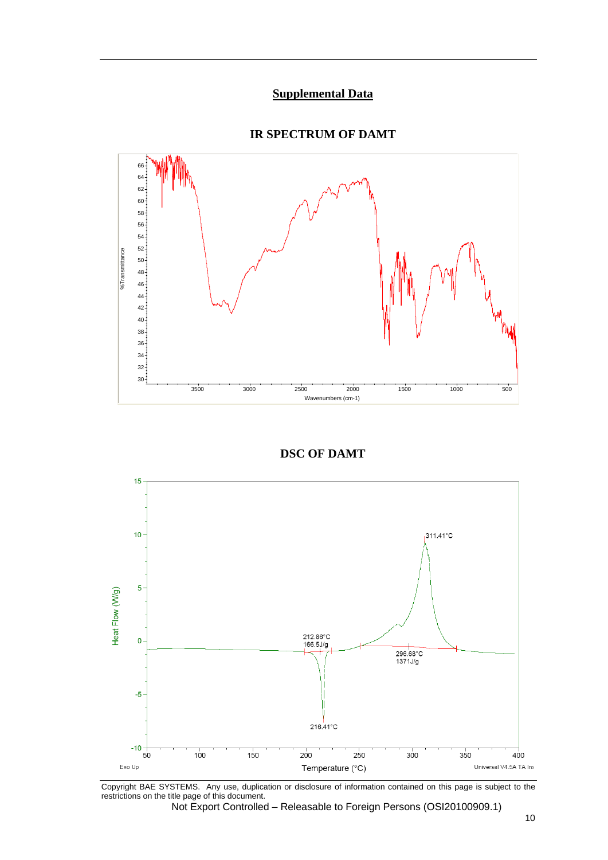## **Supplemental Data**

### **IR SPECTRUM OF DAMT**



**DSC OF DAMT**



Copyright BAE SYSTEMS. Any use, duplication or disclosure of information contained on this page is subject to the restrictions on the title page of this document.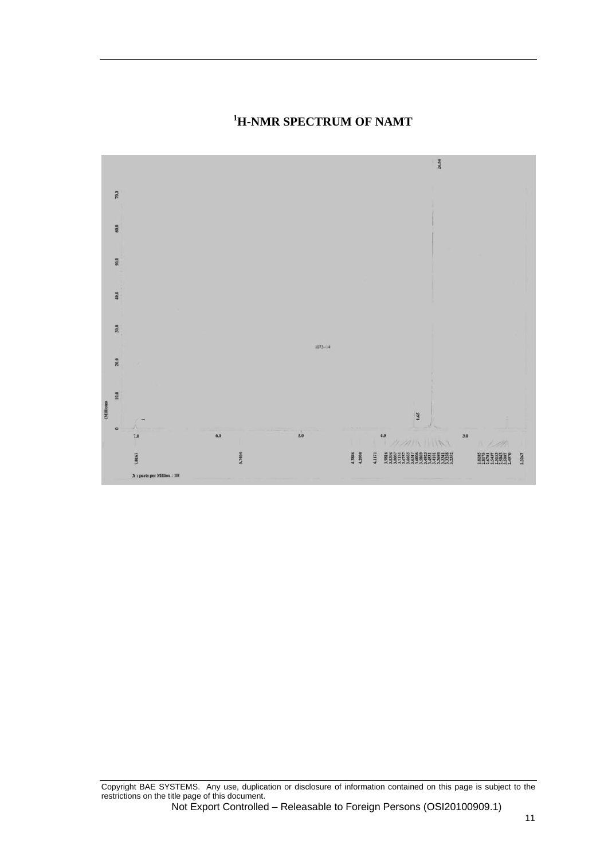

# **1 H-NMR SPECTRUM OF NAMT**

Copyright BAE SYSTEMS. Any use, duplication or disclosure of information contained on this page is subject to the restrictions on the title page of this document.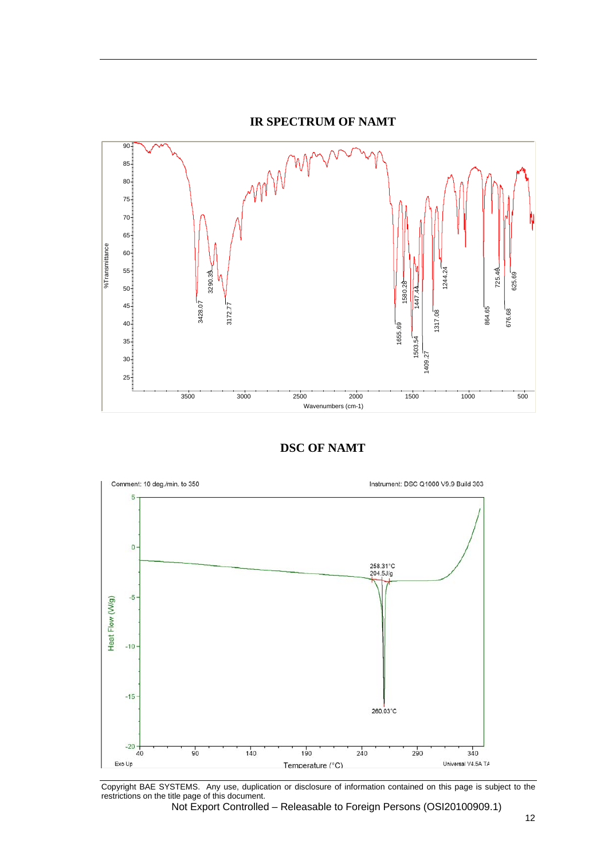







Copyright BAE SYSTEMS. Any use, duplication or disclosure of information contained on this page is subject to the restrictions on the title page of this document.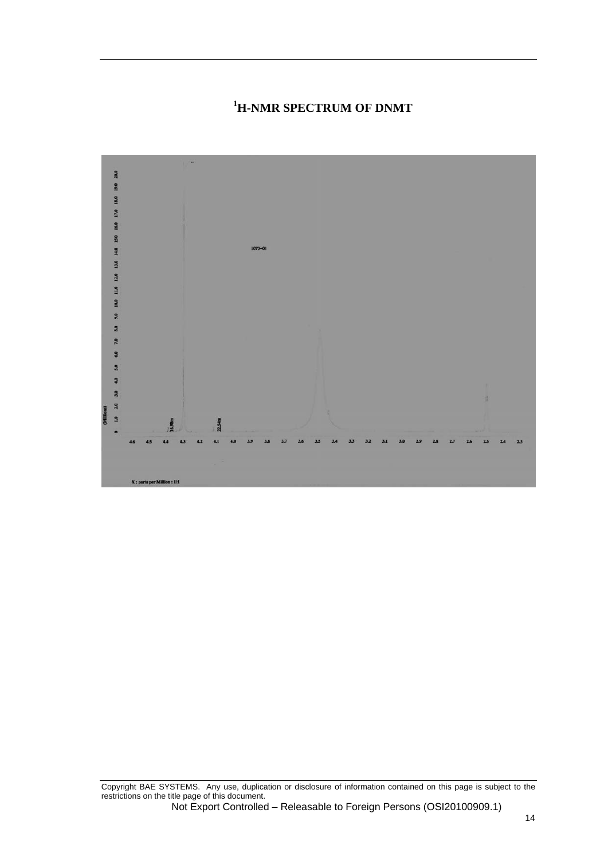## **1 H-NMR SPECTRUM OF DNMT**



Copyright BAE SYSTEMS. Any use, duplication or disclosure of information contained on this page is subject to the restrictions on the title page of this document.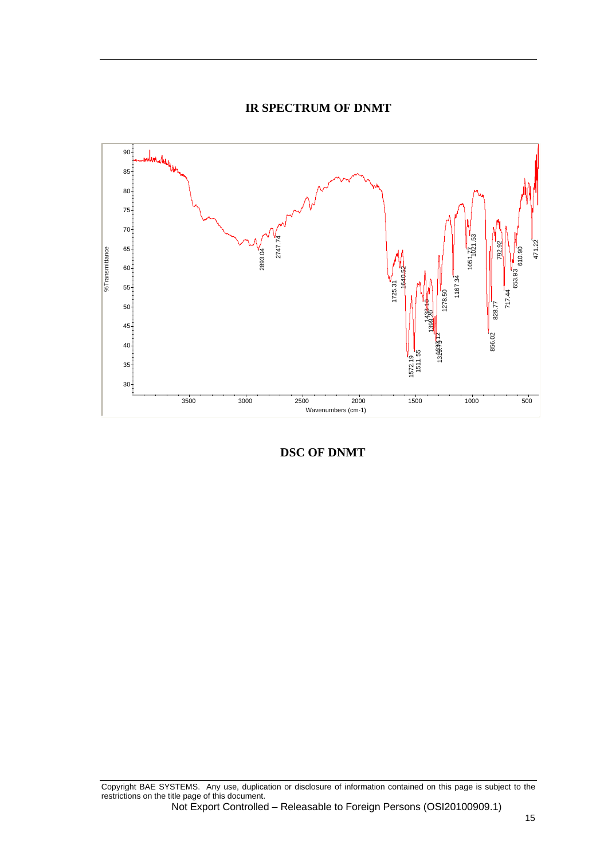#### **IR SPECTRUM OF DNMT**



**DSC OF DNMT** 

Copyright BAE SYSTEMS. Any use, duplication or disclosure of information contained on this page is subject to the restrictions on the title page of this document.